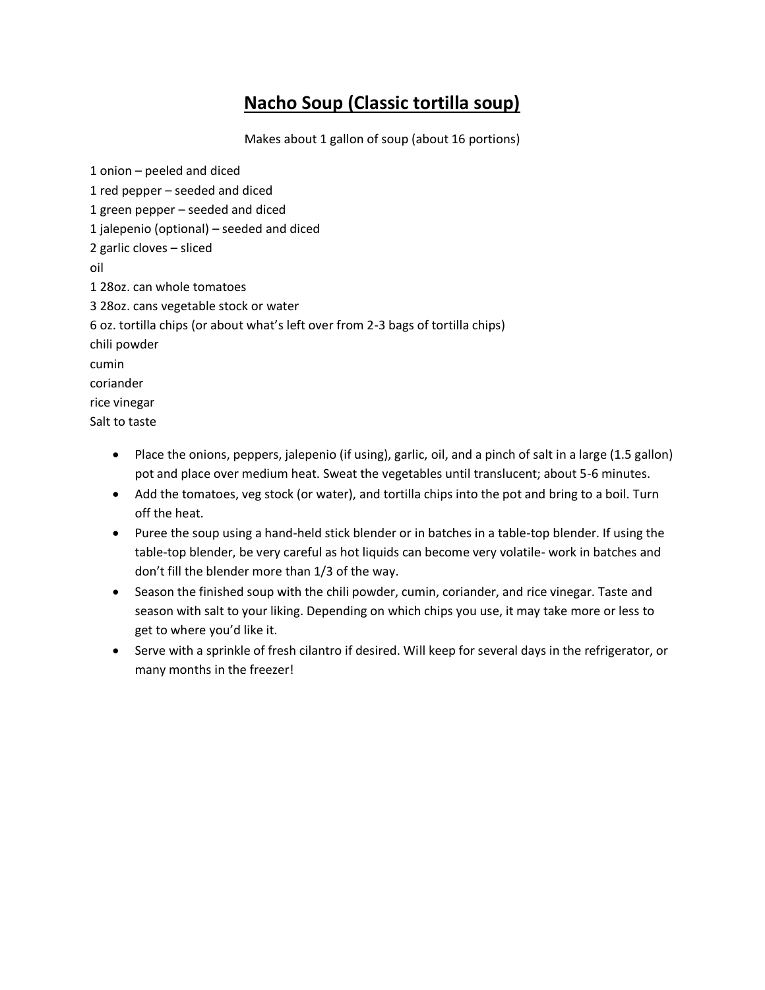## **Nacho Soup (Classic tortilla soup)**

Makes about 1 gallon of soup (about 16 portions)

1 onion – peeled and diced 1 red pepper – seeded and diced 1 green pepper – seeded and diced 1 jalepenio (optional) – seeded and diced 2 garlic cloves – sliced oil 1 28oz. can whole tomatoes 3 28oz. cans vegetable stock or water 6 oz. tortilla chips (or about what's left over from 2-3 bags of tortilla chips) chili powder cumin coriander rice vinegar Salt to taste

- Place the onions, peppers, jalepenio (if using), garlic, oil, and a pinch of salt in a large (1.5 gallon) pot and place over medium heat. Sweat the vegetables until translucent; about 5-6 minutes.
- Add the tomatoes, veg stock (or water), and tortilla chips into the pot and bring to a boil. Turn off the heat.
- Puree the soup using a hand-held stick blender or in batches in a table-top blender. If using the table-top blender, be very careful as hot liquids can become very volatile- work in batches and don't fill the blender more than 1/3 of the way.
- Season the finished soup with the chili powder, cumin, coriander, and rice vinegar. Taste and season with salt to your liking. Depending on which chips you use, it may take more or less to get to where you'd like it.
- Serve with a sprinkle of fresh cilantro if desired. Will keep for several days in the refrigerator, or many months in the freezer!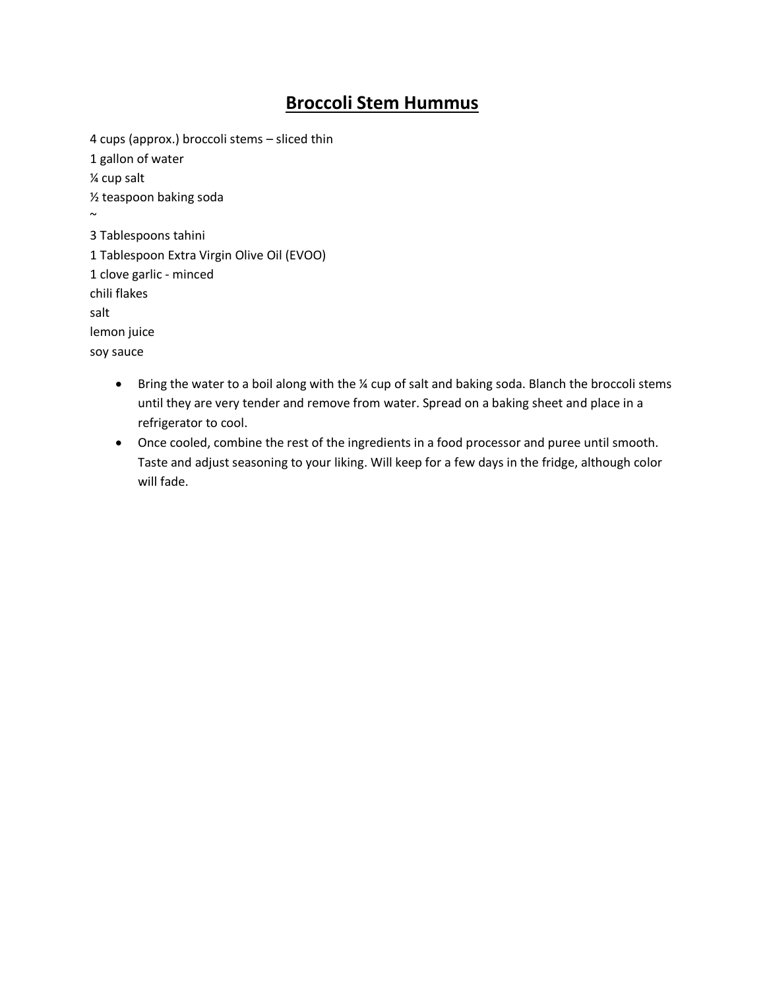### **Broccoli Stem Hummus**

4 cups (approx.) broccoli stems – sliced thin 1 gallon of water ¼ cup salt ½ teaspoon baking soda  $\sim$ 3 Tablespoons tahini 1 Tablespoon Extra Virgin Olive Oil (EVOO) 1 clove garlic - minced chili flakes salt lemon juice soy sauce

- Bring the water to a boil along with the ¼ cup of salt and baking soda. Blanch the broccoli stems until they are very tender and remove from water. Spread on a baking sheet and place in a refrigerator to cool.
- Once cooled, combine the rest of the ingredients in a food processor and puree until smooth. Taste and adjust seasoning to your liking. Will keep for a few days in the fridge, although color will fade.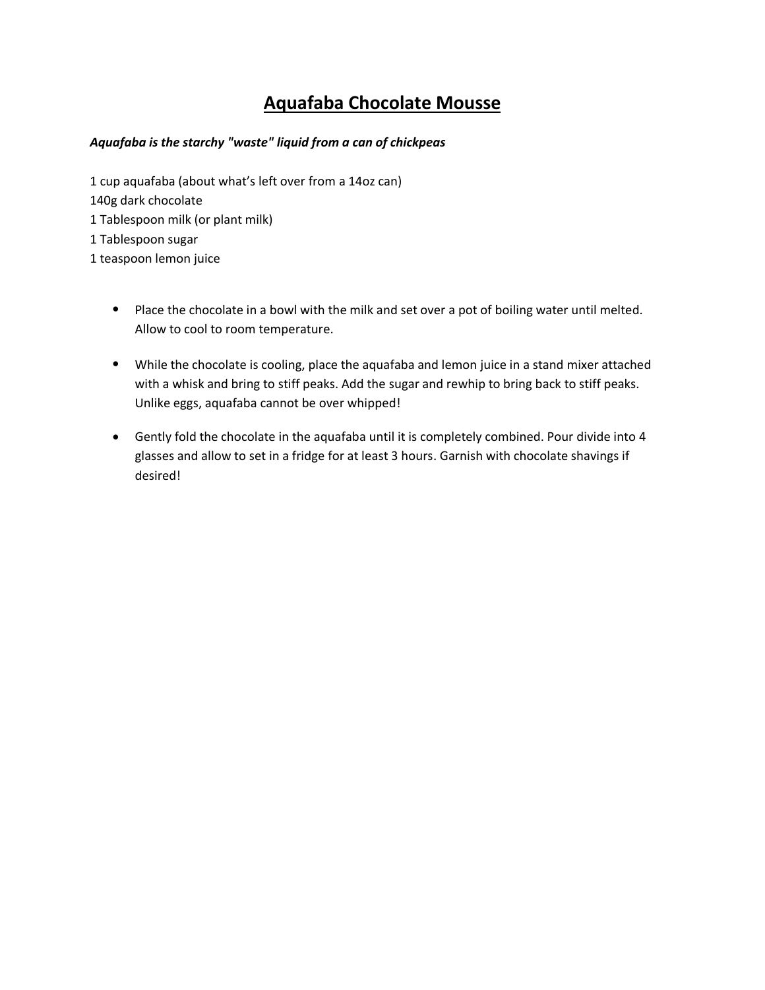## **Aquafaba Chocolate Mousse**

#### *Aquafaba is the starchy "waste" liquid from a can of chickpeas*

1 cup aquafaba (about what's left over from a 14oz can) 140g dark chocolate 1 Tablespoon milk (or plant milk) 1 Tablespoon sugar 1 teaspoon lemon juice

- Place the chocolate in a bowl with the milk and set over a pot of boiling water until melted. Allow to cool to room temperature.
- While the chocolate is cooling, place the aquafaba and lemon juice in a stand mixer attached with a whisk and bring to stiff peaks. Add the sugar and rewhip to bring back to stiff peaks. Unlike eggs, aquafaba cannot be over whipped!
- Gently fold the chocolate in the aquafaba until it is completely combined. Pour divide into 4 glasses and allow to set in a fridge for at least 3 hours. Garnish with chocolate shavings if desired!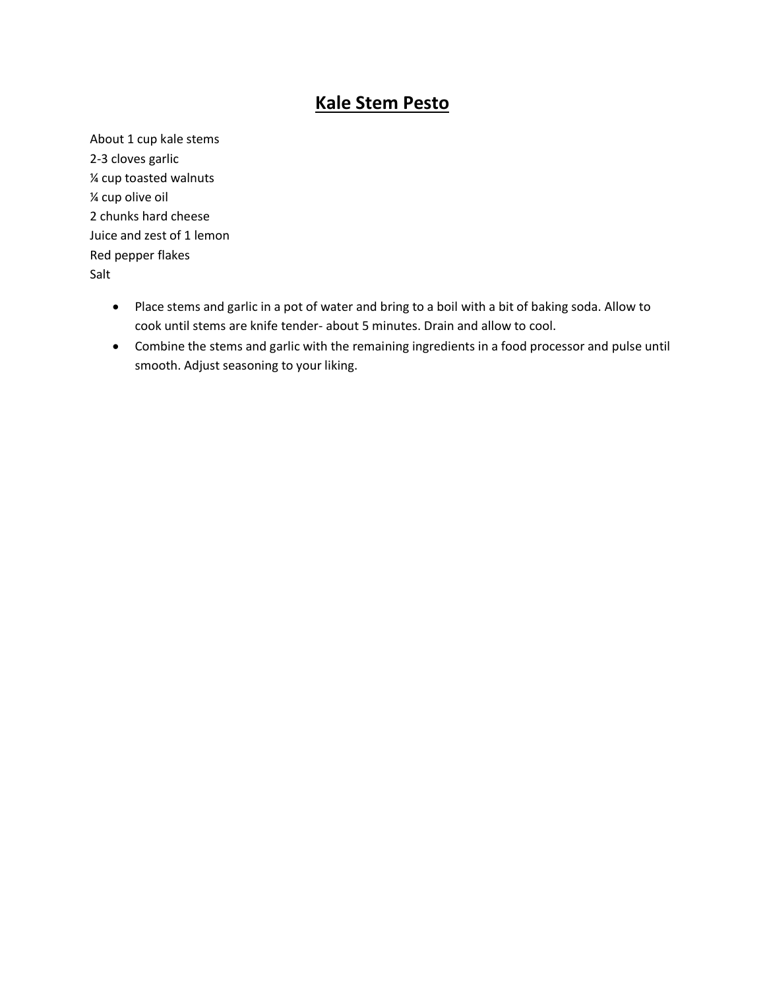#### **Kale Stem Pesto**

About 1 cup kale stems 2-3 cloves garlic ¼ cup toasted walnuts ¼ cup olive oil 2 chunks hard cheese Juice and zest of 1 lemon Red pepper flakes Salt

- Place stems and garlic in a pot of water and bring to a boil with a bit of baking soda. Allow to cook until stems are knife tender- about 5 minutes. Drain and allow to cool.
- Combine the stems and garlic with the remaining ingredients in a food processor and pulse until smooth. Adjust seasoning to your liking.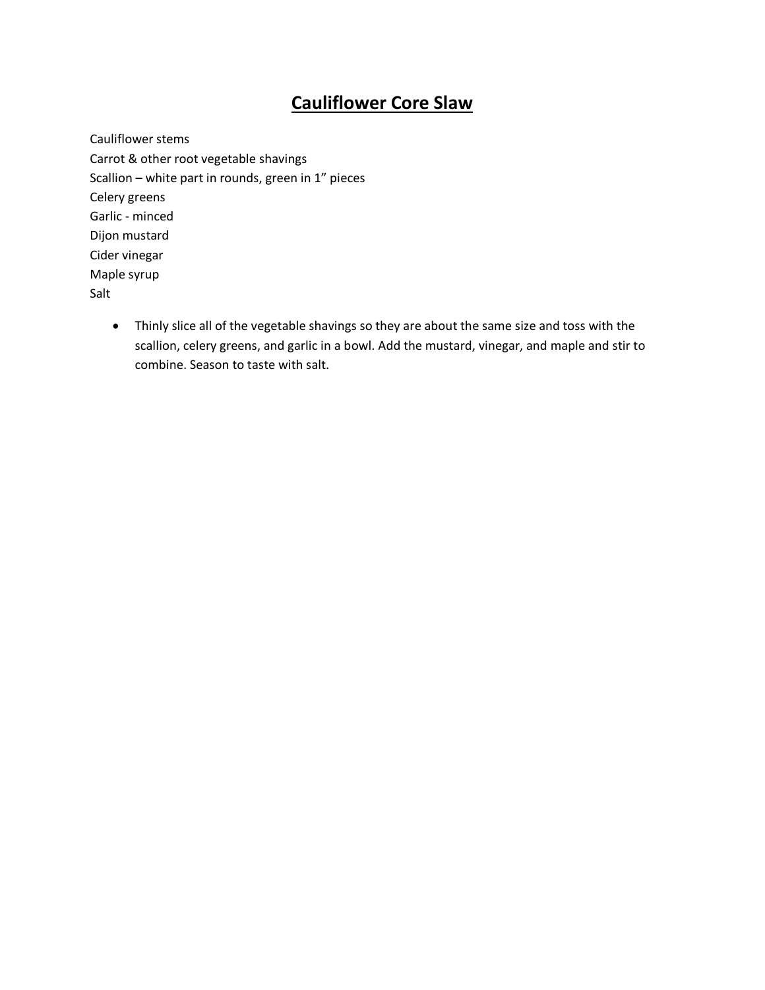## **Cauliflower Core Slaw**

Cauliflower stems Carrot & other root vegetable shavings Scallion – white part in rounds, green in 1" pieces Celery greens Garlic - minced Dijon mustard Cider vinegar Maple syrup Salt

• Thinly slice all of the vegetable shavings so they are about the same size and toss with the scallion, celery greens, and garlic in a bowl. Add the mustard, vinegar, and maple and stir to combine. Season to taste with salt.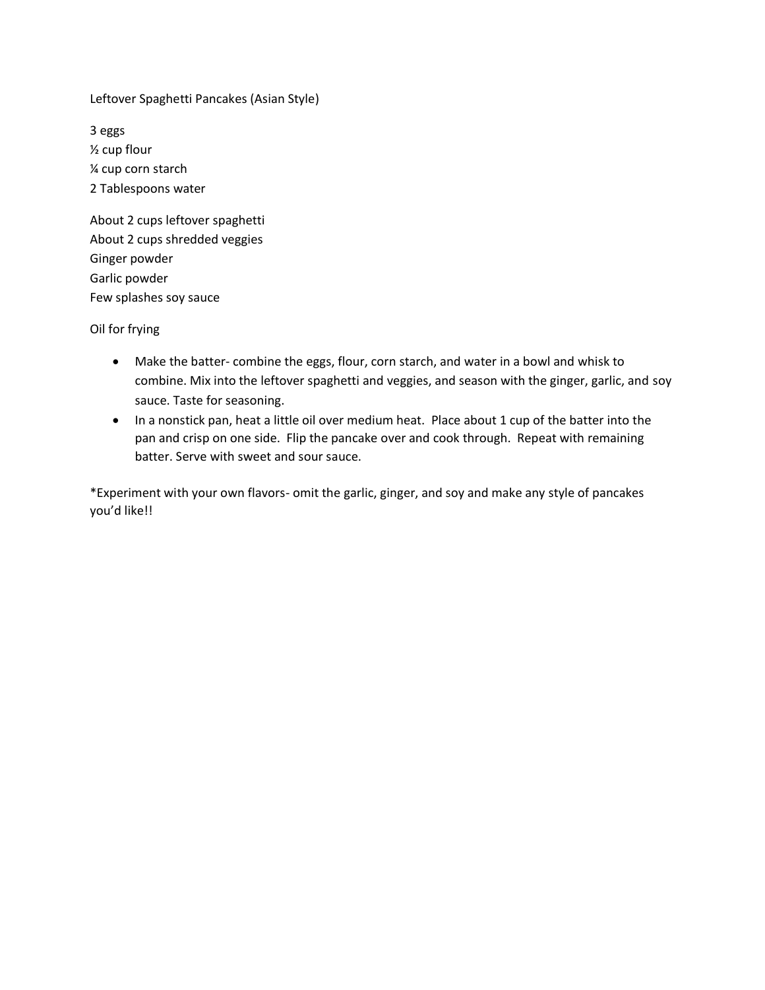Leftover Spaghetti Pancakes (Asian Style)

3 eggs ½ cup flour ¼ cup corn starch 2 Tablespoons water

About 2 cups leftover spaghetti About 2 cups shredded veggies Ginger powder Garlic powder Few splashes soy sauce

Oil for frying

- Make the batter- combine the eggs, flour, corn starch, and water in a bowl and whisk to combine. Mix into the leftover spaghetti and veggies, and season with the ginger, garlic, and soy sauce. Taste for seasoning.
- In a nonstick pan, heat a little oil over medium heat. Place about 1 cup of the batter into the pan and crisp on one side. Flip the pancake over and cook through. Repeat with remaining batter. Serve with sweet and sour sauce.

\*Experiment with your own flavors- omit the garlic, ginger, and soy and make any style of pancakes you'd like!!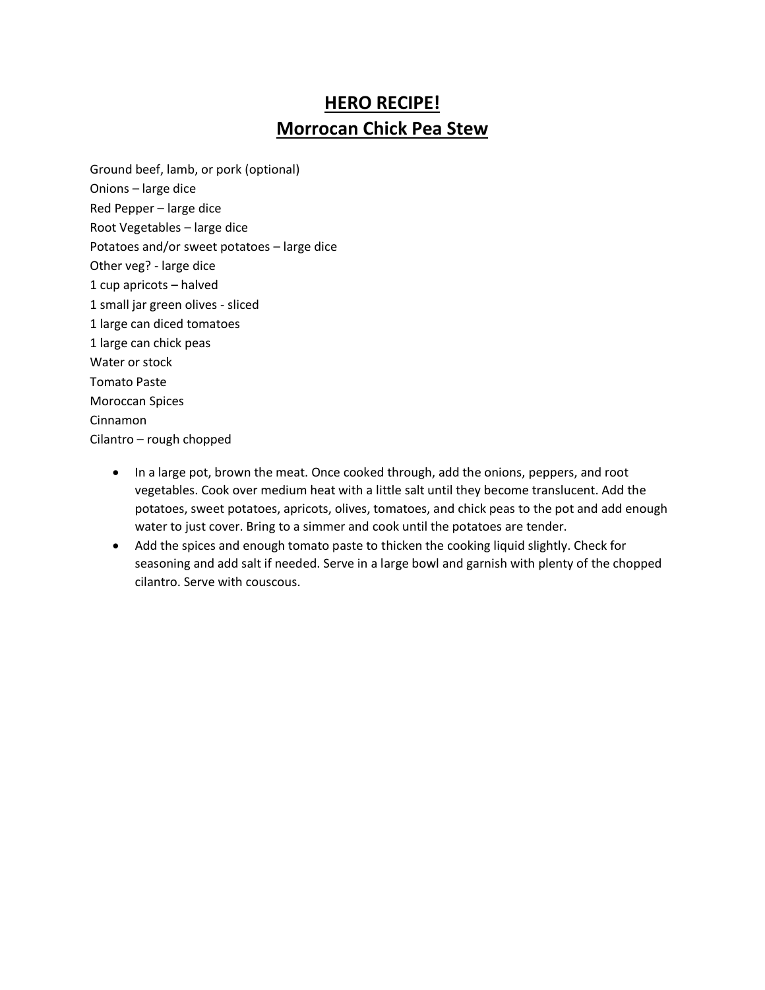## **HERO RECIPE! Morrocan Chick Pea Stew**

Ground beef, lamb, or pork (optional) Onions – large dice Red Pepper – large dice Root Vegetables – large dice Potatoes and/or sweet potatoes – large dice Other veg? - large dice 1 cup apricots – halved 1 small jar green olives - sliced 1 large can diced tomatoes 1 large can chick peas Water or stock Tomato Paste Moroccan Spices Cinnamon Cilantro – rough chopped

- In a large pot, brown the meat. Once cooked through, add the onions, peppers, and root vegetables. Cook over medium heat with a little salt until they become translucent. Add the potatoes, sweet potatoes, apricots, olives, tomatoes, and chick peas to the pot and add enough water to just cover. Bring to a simmer and cook until the potatoes are tender.
- Add the spices and enough tomato paste to thicken the cooking liquid slightly. Check for seasoning and add salt if needed. Serve in a large bowl and garnish with plenty of the chopped cilantro. Serve with couscous.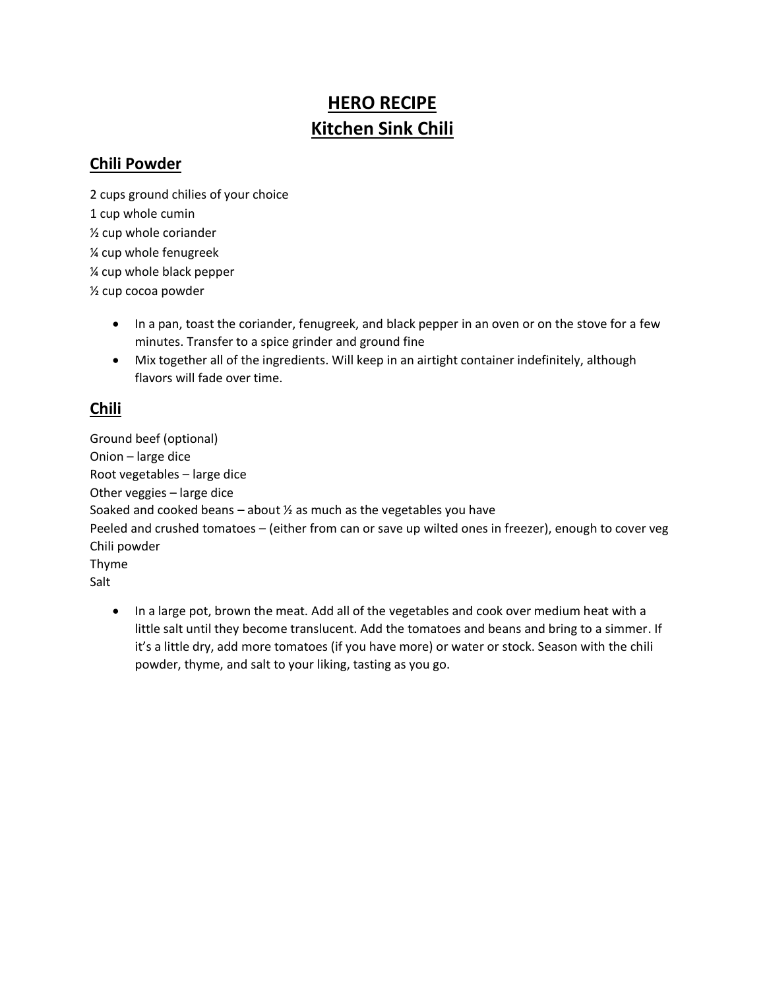# **HERO RECIPE Kitchen Sink Chili**

#### **Chili Powder**

2 cups ground chilies of your choice 1 cup whole cumin ½ cup whole coriander ¼ cup whole fenugreek ¼ cup whole black pepper ½ cup cocoa powder

- In a pan, toast the coriander, fenugreek, and black pepper in an oven or on the stove for a few minutes. Transfer to a spice grinder and ground fine
- Mix together all of the ingredients. Will keep in an airtight container indefinitely, although flavors will fade over time.

#### **Chili**

Ground beef (optional) Onion – large dice Root vegetables – large dice Other veggies – large dice Soaked and cooked beans – about  $\frac{1}{2}$  as much as the vegetables you have Peeled and crushed tomatoes – (either from can or save up wilted ones in freezer), enough to cover veg Chili powder Thyme Salt

• In a large pot, brown the meat. Add all of the vegetables and cook over medium heat with a little salt until they become translucent. Add the tomatoes and beans and bring to a simmer. If it's a little dry, add more tomatoes (if you have more) or water or stock. Season with the chili powder, thyme, and salt to your liking, tasting as you go.